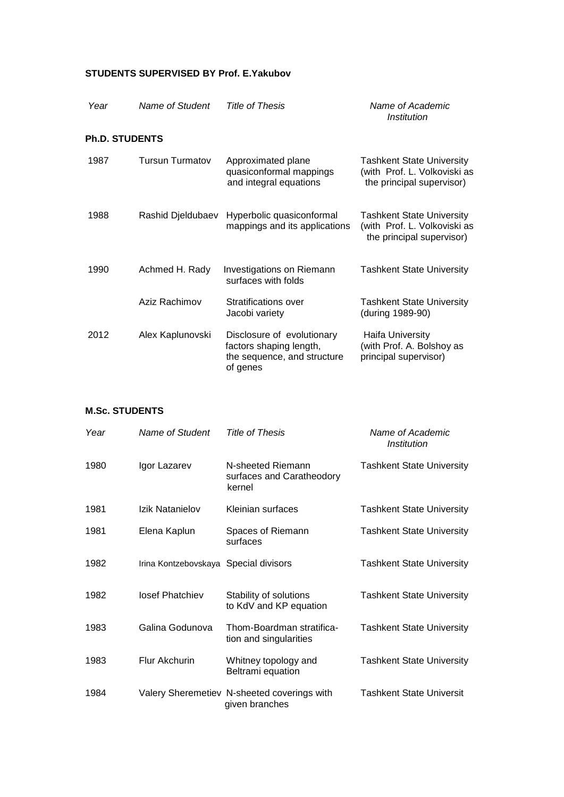## **STUDENTS SUPERVISED BY Prof. E.Yakubov**

| Year                  | Name of Student        | Title of Thesis                                                                                  | Name of Academic<br><i><b>Institution</b></i>                                                 |
|-----------------------|------------------------|--------------------------------------------------------------------------------------------------|-----------------------------------------------------------------------------------------------|
| <b>Ph.D. STUDENTS</b> |                        |                                                                                                  |                                                                                               |
| 1987                  | <b>Tursun Turmatov</b> | Approximated plane<br>quasiconformal mappings<br>and integral equations                          | <b>Tashkent State University</b><br>(with Prof. L. Volkoviski as<br>the principal supervisor) |
| 1988                  | Rashid Djeldubaev      | Hyperbolic quasiconformal<br>mappings and its applications                                       | <b>Tashkent State University</b><br>(with Prof. L. Volkoviski as<br>the principal supervisor) |
| 1990                  | Achmed H. Rady         | Investigations on Riemann<br>surfaces with folds                                                 | <b>Tashkent State University</b>                                                              |
|                       | Aziz Rachimov          | <b>Stratifications over</b><br>Jacobi variety                                                    | <b>Tashkent State University</b><br>(during 1989-90)                                          |
| 2012                  | Alex Kaplunovski       | Disclosure of evolutionary<br>factors shaping length,<br>the sequence, and structure<br>of genes | <b>Haifa University</b><br>(with Prof. A. Bolshoy as<br>principal supervisor)                 |

## **M.Sc. STUDENTS**

| Year | Name of Student                       | Title of Thesis                                               | Name of Academic<br><b>Institution</b> |
|------|---------------------------------------|---------------------------------------------------------------|----------------------------------------|
| 1980 | Igor Lazarev                          | N-sheeted Riemann<br>surfaces and Caratheodory<br>kernel      | <b>Tashkent State University</b>       |
| 1981 | Izik Natanielov                       | Kleinian surfaces                                             | <b>Tashkent State University</b>       |
| 1981 | Elena Kaplun                          | Spaces of Riemann<br>surfaces                                 | <b>Tashkent State University</b>       |
| 1982 | Irina Kontzebovskaya Special divisors |                                                               | <b>Tashkent State University</b>       |
| 1982 | losef Phatchiev                       | Stability of solutions<br>to KdV and KP equation              | <b>Tashkent State University</b>       |
| 1983 | Galina Godunova                       | Thom-Boardman stratifica-<br>tion and singularities           | <b>Tashkent State University</b>       |
| 1983 | <b>Flur Akchurin</b>                  | Whitney topology and<br>Beltrami equation                     | <b>Tashkent State University</b>       |
| 1984 |                                       | Valery Sheremetiev N-sheeted coverings with<br>given branches | <b>Tashkent State Universit</b>        |